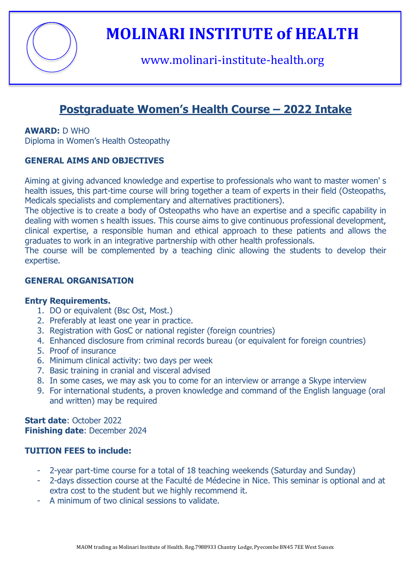

www.molinari-institute-health.org

## **Postgraduate Women's Health Course – 2022 Intake**

#### **AWARD:** D WHO

Diploma in Women's Health Osteopathy

#### **GENERAL AIMS AND OBJECTIVES**

Aiming at giving advanced knowledge and expertise to professionals who want to master women' s health issues, this part-time course will bring together a team of experts in their field (Osteopaths, Medicals specialists and complementary and alternatives practitioners).

The objective is to create a body of Osteopaths who have an expertise and a specific capability in dealing with women s health issues. This course aims to give continuous professional development, clinical expertise, a responsible human and ethical approach to these patients and allows the graduates to work in an integrative partnership with other health professionals.

The course will be complemented by a teaching clinic allowing the students to develop their expertise.

#### **GENERAL ORGANISATION**

#### **Entry Requirements.**

- 1. DO or equivalent (Bsc Ost, Most.)
- 2. Preferably at least one year in practice.
- 3. Registration with GosC or national register (foreign countries)
- 4. Enhanced disclosure from criminal records bureau (or equivalent for foreign countries)
- 5. Proof of insurance
- 6. Minimum clinical activity: two days per week
- 7. Basic training in cranial and visceral advised
- 8. In some cases, we may ask you to come for an interview or arrange a Skype interview
- 9. For international students, a proven knowledge and command of the English language (oral and written) may be required

**Start date**: October 2022 **Finishing date**: December 2024

#### **TUITION FEES to include:**

- 2-year part-time course for a total of 18 teaching weekends (Saturday and Sunday)
- 2-days dissection course at the Faculté de Médecine in Nice. This seminar is optional and at extra cost to the student but we highly recommend it.
- A minimum of two clinical sessions to validate.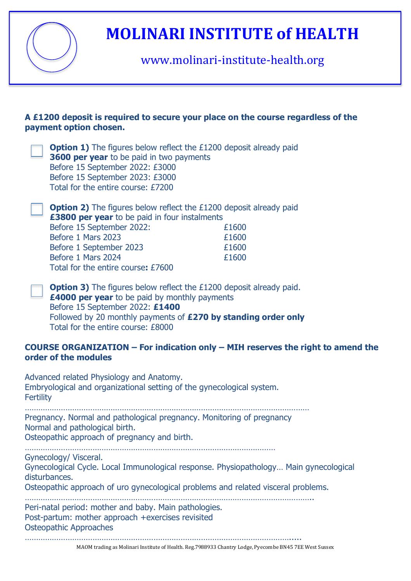

www.molinari-institute-health.org

#### **A £1200 deposit is required to secure your place on the course regardless of the payment option chosen.**

MAOM trading as Molinari Institute of Health. Reg.7988933 Chantry Lodge, Pyecombe BN45 7EE West Sussex **Option 1)** The figures below reflect the £1200 deposit already paid **3600 per year** to be paid in two payments Before 15 September 2022: £3000 Before 15 September 2023: £3000 Total for the entire course: £7200 **Option 2)** The figures below reflect the £1200 deposit already paid **£3800 per year** to be paid in four instalments Before 15 September 2022: E1600 Before 1 Mars 2023 **E1600** Before 1 September 2023 **E1600** Before 1 Mars 2024 **E1600** Total for the entire course**:** £7600 **Option 3)** The figures below reflect the £1200 deposit already paid. **£4000 per year** to be paid by monthly payments Before 15 September 2022: **£1400** Followed by 20 monthly payments of **£270 by standing order only** Total for the entire course: £8000 **COURSE ORGANIZATION – For indication only – MIH reserves the right to amend the order of the modules** Advanced related Physiology and Anatomy. Embryological and organizational setting of the gynecological system. **Fertility** ……………………………………………………………………………………………………………… Pregnancy. Normal and pathological pregnancy. Monitoring of pregnancy Normal and pathological birth. Osteopathic approach of pregnancy and birth. ………………………………………………………………………………………………… Gynecology/ Visceral. Gynecological Cycle. Local Immunological response. Physiopathology… Main gynecological disturbances. Osteopathic approach of uro gynecological problems and related visceral problems. ……………………………………………………………………………………………………………….. Peri-natal period: mother and baby. Main pathologies. Post-partum: mother approach +exercises revisited Osteopathic Approaches ……………………………………………………………………………………………………….....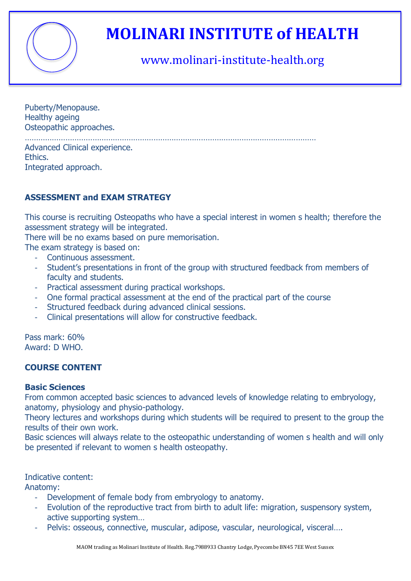

### www.molinari-institute-health.org

Puberty/Menopause. Healthy ageing Osteopathic approaches.

………………………………………………………………………………………………………………… Advanced Clinical experience.

Ethics. Integrated approach.

### **ASSESSMENT and EXAM STRATEGY**

This course is recruiting Osteopaths who have a special interest in women s health; therefore the assessment strategy will be integrated.

There will be no exams based on pure memorisation.

The exam strategy is based on:

- Continuous assessment.
- Student's presentations in front of the group with structured feedback from members of faculty and students.
- Practical assessment during practical workshops.
- One formal practical assessment at the end of the practical part of the course
- Structured feedback during advanced clinical sessions.
- Clinical presentations will allow for constructive feedback.

Pass mark: 60% Award: D WHO.

### **COURSE CONTENT**

#### **Basic Sciences**

From common accepted basic sciences to advanced levels of knowledge relating to embryology, anatomy, physiology and physio-pathology.

Theory lectures and workshops during which students will be required to present to the group the results of their own work.

Basic sciences will always relate to the osteopathic understanding of women s health and will only be presented if relevant to women s health osteopathy.

#### Indicative content:

#### Anatomy:

- Development of female body from embryology to anatomy.
- Evolution of the reproductive tract from birth to adult life: migration, suspensory system, active supporting system…
- Pelvis: osseous, connective, muscular, adipose, vascular, neurological, visceral....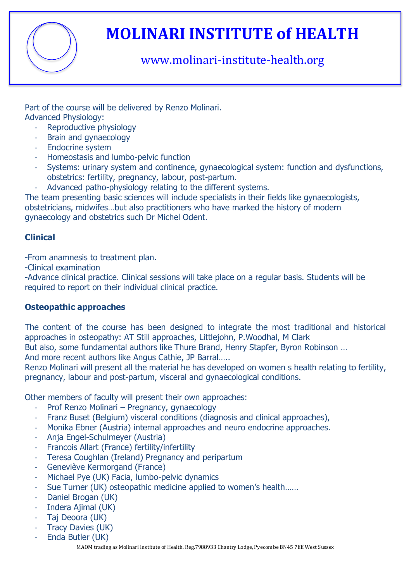

## www.molinari-institute-health.org

Part of the course will be delivered by Renzo Molinari. Advanced Physiology:

- Reproductive physiology
- Brain and gynaecology
- Endocrine system
- Homeostasis and lumbo-pelvic function
- Systems: urinary system and continence, gynaecological system: function and dysfunctions, obstetrics: fertility, pregnancy, labour, post-partum.
- Advanced patho-physiology relating to the different systems.

The team presenting basic sciences will include specialists in their fields like gynaecologists, obstetricians, midwifes…but also practitioners who have marked the history of modern gynaecology and obstetrics such Dr Michel Odent.

### **Clinical**

-From anamnesis to treatment plan.

-Clinical examination

-Advance clinical practice. Clinical sessions will take place on a regular basis. Students will be required to report on their individual clinical practice.

### **Osteopathic approaches**

The content of the course has been designed to integrate the most traditional and historical approaches in osteopathy: AT Still approaches, Littlejohn, P.Woodhal, M Clark

But also, some fundamental authors like Thure Brand, Henry Stapfer, Byron Robinson …

And more recent authors like Angus Cathie, JP Barral…..

Renzo Molinari will present all the material he has developed on women s health relating to fertility, pregnancy, labour and post-partum, visceral and gynaecological conditions.

Other members of faculty will present their own approaches:

- Prof Renzo Molinari Pregnancy, gynaecology
- Franz Buset (Belgium) visceral conditions (diagnosis and clinical approaches),
- Monika Ebner (Austria) internal approaches and neuro endocrine approaches.
- Anja Engel-Schulmeyer (Austria)
- Francois Allart (France) fertility/infertility
- Teresa Coughlan (Ireland) Pregnancy and peripartum
- Geneviève Kermorgand (France)
- Michael Pye (UK) Facia, lumbo-pelvic dynamics
- Sue Turner (UK) osteopathic medicine applied to women's health……
- Daniel Brogan (UK)
- Indera Ajimal (UK)
- Taj Deoora (UK)
- Tracy Davies (UK)
- Enda Butler (UK)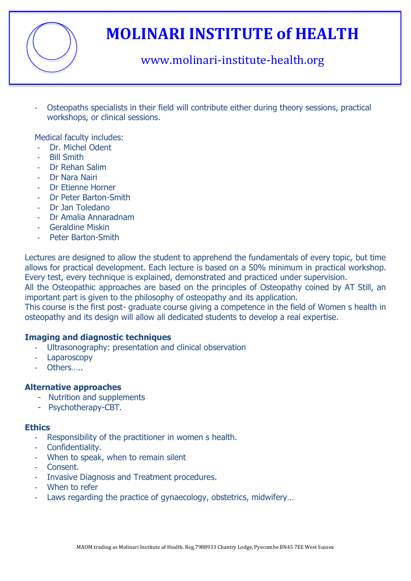

www.molinari-institute-health.org

Osteopaths specialists in their field will contribute either during theory sessions, practical workshops, or clinical sessions.

Medical faculty includes:

- Dr. Michel Odent
- **Bill Smith**
- Dr Rehan Salim
- Dr Nara Nairi
- Dr Etienne Horner
- Dr Peter Barton-Smith
- Dr Jan Toledano
- Dr Amalia Annaradnam
- Geraldine Miskin
- Peter Barton-Smith

Lectures are designed to allow the student to apprehend the fundamentals of every topic, but time allows for practical development. Each lecture is based on a 50% minimum in practical workshop. Every test, every technique is explained, demonstrated and practiced under supervision.

All the Osteopathic approaches are based on the principles of Osteopathy coined by AT Still, an important part is given to the philosophy of osteopathy and its application.

This course is the first post- graduate course giving a competence in the field of Women s health in osteopathy and its design will allow all dedicated students to develop a real expertise.

#### **Imaging and diagnostic techniques**

- Ultrasonography: presentation and clinical observation
- **Laparoscopy**
- Others.....

#### **Alternative approaches**

- Nutrition and supplements
- Psychotherapy-CBT.

#### **Ethics**

- Responsibility of the practitioner in women s health.
- Confidentiality.
- When to speak, when to remain silent
- Consent.
- Invasive Diagnosis and Treatment procedures.
- When to refer
- Laws regarding the practice of gynaecology, obstetrics, midwifery...